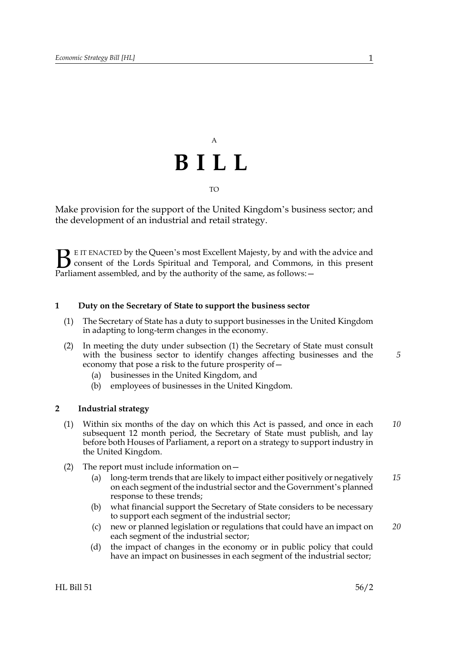# A **BILL** TO

Make provision for the support of the United Kingdom's business sector; and the development of an industrial and retail strategy.

E IT ENACTED by the Queen's most Excellent Majesty, by and with the advice and consent of the Lords Spiritual and Temporal, and Commons, in this present **B** E IT ENACTED by the Queen's most Excellent Majesty, by and with consent of the Lords Spiritual and Temporal, and Commons, Parliament assembled, and by the authority of the same, as follows:  $-$ 

## **1 Duty on the Secretary of State to support the business sector**

- (1) The Secretary of State has a duty to support businesses in the United Kingdom in adapting to long-term changes in the economy.
- (2) In meeting the duty under subsection (1) the Secretary of State must consult with the business sector to identify changes affecting businesses and the economy that pose a risk to the future prosperity of—
	- (a) businesses in the United Kingdom, and
	- (b) employees of businesses in the United Kingdom.

## **2 Industrial strategy**

- (1) Within six months of the day on which this Act is passed, and once in each subsequent 12 month period, the Secretary of State must publish, and lay before both Houses of Parliament, a report on a strategy to support industry in the United Kingdom. *10*
- (2) The report must include information on—
	- (a) long-term trends that are likely to impact either positively or negatively on each segment of the industrial sector and the Government's planned response to these trends; *15*
	- (b) what financial support the Secretary of State considers to be necessary to support each segment of the industrial sector;
	- (c) new or planned legislation or regulations that could have an impact on each segment of the industrial sector; *20*
	- (d) the impact of changes in the economy or in public policy that could have an impact on businesses in each segment of the industrial sector;

*5*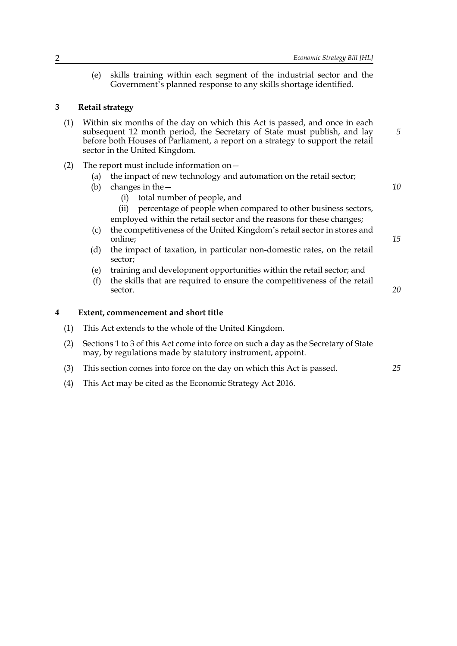(e) skills training within each segment of the industrial sector and the Government's planned response to any skills shortage identified.

#### **3 Retail strategy**

- (1) Within six months of the day on which this Act is passed, and once in each subsequent 12 month period, the Secretary of State must publish, and lay before both Houses of Parliament, a report on a strategy to support the retail sector in the United Kingdom.
- (2) The report must include information on—
	- (a) the impact of new technology and automation on the retail sector;
	- (b) changes in the—
		- (i) total number of people, and
		- (ii) percentage of people when compared to other business sectors, employed within the retail sector and the reasons for these changes;
	- (c) the competitiveness of the United Kingdom's retail sector in stores and online;
	- (d) the impact of taxation, in particular non-domestic rates, on the retail sector;
	- (e) training and development opportunities within the retail sector; and
	- (f) the skills that are required to ensure the competitiveness of the retail sector.

#### **4 Extent, commencement and short title**

- (1) This Act extends to the whole of the United Kingdom.
- (2) Sections 1 to 3 of this Act come into force on such a day as the Secretary of State may, by regulations made by statutory instrument, appoint.
- (3) This section comes into force on the day on which this Act is passed. *25*
- (4) This Act may be cited as the Economic Strategy Act 2016.

*10*

*5*

*15*

*20*